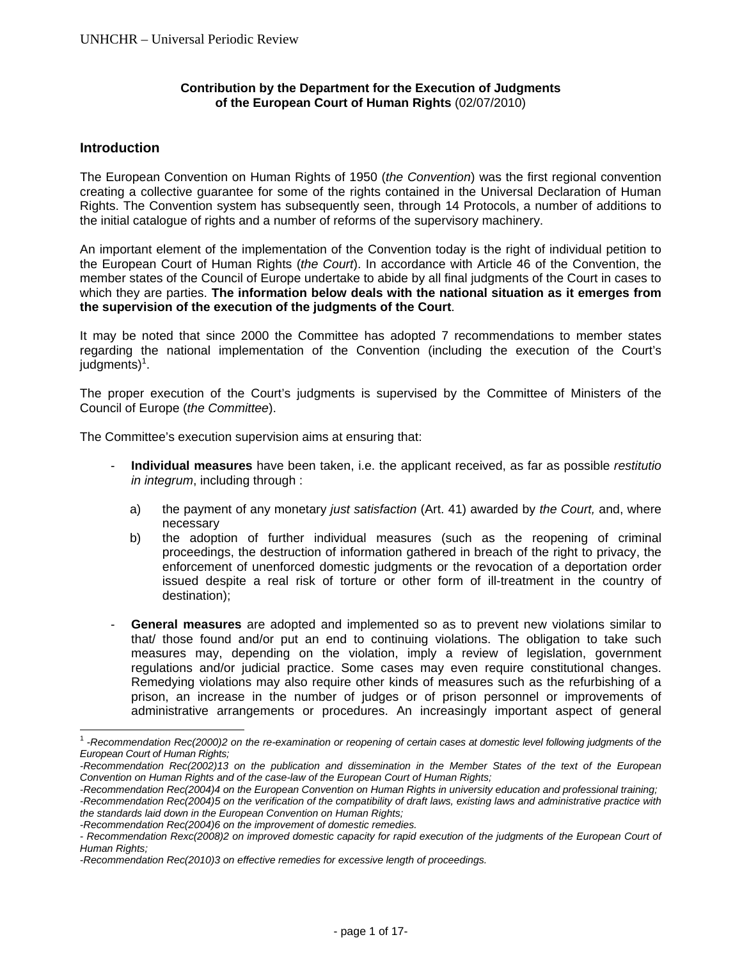### **Contribution by the Department for the Execution of Judgments of the European Court of Human Rights** (02/07/2010)

### **Introduction**

l

The European Convention on Human Rights of 1950 (*the Convention*) was the first regional convention creating a collective guarantee for some of the rights contained in the Universal Declaration of Human Rights. The Convention system has subsequently seen, through 14 Protocols, a number of additions to the initial catalogue of rights and a number of reforms of the supervisory machinery.

An important element of the implementation of the Convention today is the right of individual petition to the European Court of Human Rights (*the Court*). In accordance with Article 46 of the Convention, the member states of the Council of Europe undertake to abide by all final judgments of the Court in cases to which they are parties. **The information below deals with the national situation as it emerges from the supervision of the execution of the judgments of the Court**.

It may be noted that since 2000 the Committee has adopted 7 recommendations to member states regarding the national implementation of the Convention (including the execution of the Court's judgments)<sup>1</sup>.

The proper execution of the Court's judgments is supervised by the Committee of Ministers of the Council of Europe (*the Committee*).

The Committee's execution supervision aims at ensuring that:

- **Individual measures** have been taken, i.e. the applicant received, as far as possible *restitutio in integrum*, including through :
	- a) the payment of any monetary *just satisfaction* (Art. 41) awarded by *the Court,* and, where necessary
	- b) the adoption of further individual measures (such as the reopening of criminal proceedings, the destruction of information gathered in breach of the right to privacy, the enforcement of unenforced domestic judgments or the revocation of a deportation order issued despite a real risk of torture or other form of ill-treatment in the country of destination);
- **General measures** are adopted and implemented so as to prevent new violations similar to that/ those found and/or put an end to continuing violations. The obligation to take such measures may, depending on the violation, imply a review of legislation, government regulations and/or judicial practice. Some cases may even require constitutional changes. Remedying violations may also require other kinds of measures such as the refurbishing of a prison, an increase in the number of judges or of prison personnel or improvements of administrative arrangements or procedures. An increasingly important aspect of general

<sup>1</sup> -*Recommendation Rec(2000)2 on the re-examination or reopening of certain cases at domestic level following judgments of the European Court of Human Rights;* 

*<sup>-</sup>Recommendation Rec(2002)13 on the publication and dissemination in the Member States of the text of the European Convention on Human Rights and of the case-law of the European Court of Human Rights;* 

*<sup>-</sup>Recommendation Rec(2004)4 on the European Convention on Human Rights in university education and professional training;* 

*<sup>-</sup>Recommendation Rec(2004)5 on the verification of the compatibility of draft laws, existing laws and administrative practice with the standards laid down in the European Convention on Human Rights;* 

*<sup>-</sup>Recommendation Rec(2004)6 on the improvement of domestic remedies.* 

<sup>-</sup> Recommendation Rexc(2008)2 on improved domestic capacity for rapid execution of the judgments of the European Court of *Human Rights;* 

*<sup>-</sup>Recommendation Rec(2010)3 on effective remedies for excessive length of proceedings.*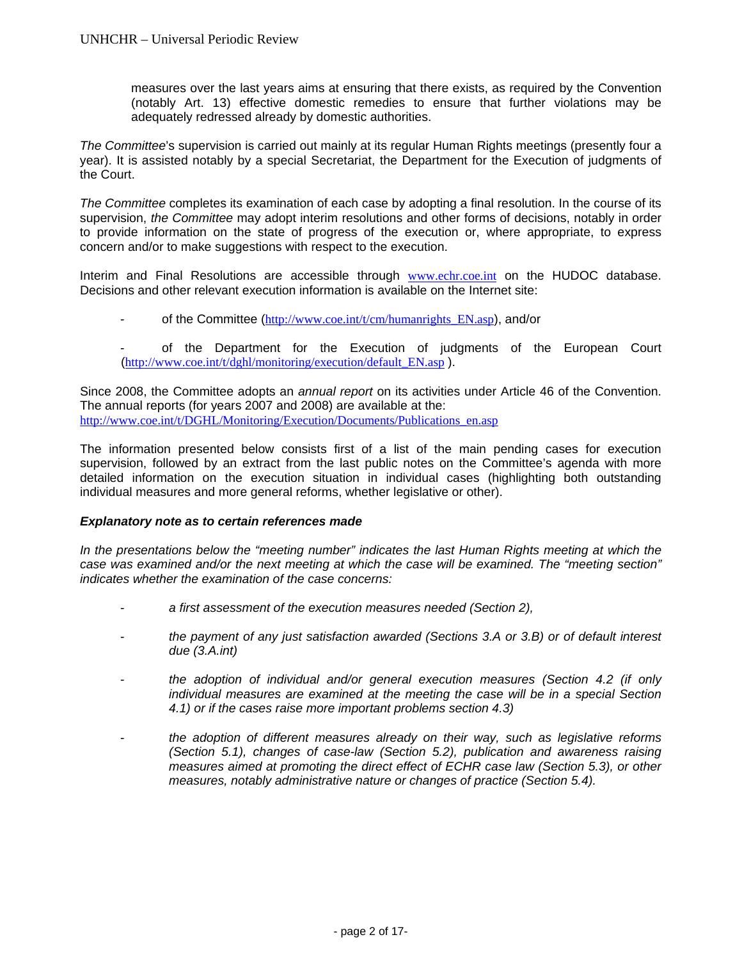measures over the last years aims at ensuring that there exists, as required by the Convention (notably Art. 13) effective domestic remedies to ensure that further violations may be adequately redressed already by domestic authorities.

*The Committee*'s supervision is carried out mainly at its regular Human Rights meetings (presently four a year). It is assisted notably by a special Secretariat, the Department for the Execution of judgments of the Court.

*The Committee* completes its examination of each case by adopting a final resolution. In the course of its supervision, *the Committee* may adopt interim resolutions and other forms of decisions, notably in order to provide information on the state of progress of the execution or, where appropriate, to express concern and/or to make suggestions with respect to the execution.

Interim and Final Resolutions are accessible through www.echr.coe.int on the HUDOC database. Decisions and other relevant execution information is available on the Internet site:

- of the Committee (http://www.coe.int/t/cm/humanrights\_EN.asp), and/or
- of the Department for the Execution of judgments of the European Court (http://www.coe.int/t/dghl/monitoring/execution/default\_EN.asp ).

Since 2008, the Committee adopts an *annual report* on its activities under Article 46 of the Convention. The annual reports (for years 2007 and 2008) are available at the: http://www.coe.int/t/DGHL/Monitoring/Execution/Documents/Publications\_en.asp

The information presented below consists first of a list of the main pending cases for execution supervision, followed by an extract from the last public notes on the Committee's agenda with more detailed information on the execution situation in individual cases (highlighting both outstanding individual measures and more general reforms, whether legislative or other).

### *Explanatory note as to certain references made*

*In the presentations below the "meeting number" indicates the last Human Rights meeting at which the case was examined and/or the next meeting at which the case will be examined. The "meeting section" indicates whether the examination of the case concerns:* 

- a first assessment of the execution measures needed (Section 2),
- *the payment of any just satisfaction awarded (Sections 3.A or 3.B) or of default interest due (3.A.int)*
- *the adoption of individual and/or general execution measures (Section 4.2 (if only individual measures are examined at the meeting the case will be in a special Section 4.1) or if the cases raise more important problems section 4.3)*
- *the adoption of different measures already on their way, such as legislative reforms (Section 5.1), changes of case-law (Section 5.2), publication and awareness raising measures aimed at promoting the direct effect of ECHR case law (Section 5.3), or other measures, notably administrative nature or changes of practice (Section 5.4).*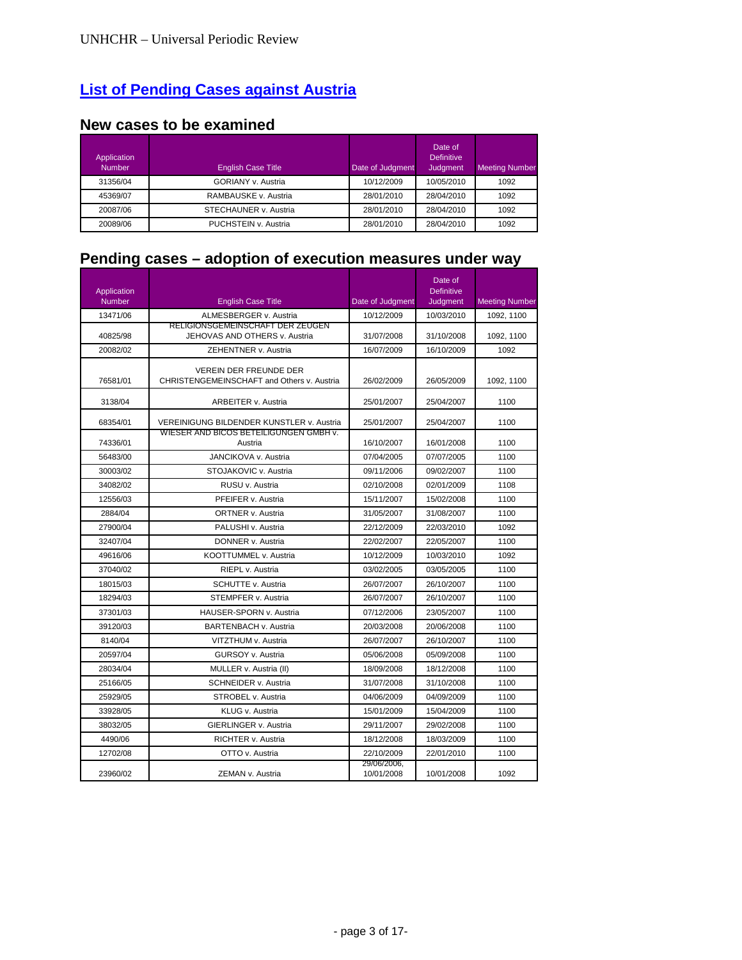# **List of Pending Cases against Austria**

## **New cases to be examined**

| Application<br><b>Number</b> | <b>English Case Title</b> | Date of Judgment | Date of<br><b>Definitive</b><br><b>Judgment</b> | <b>Meeting Number</b> |
|------------------------------|---------------------------|------------------|-------------------------------------------------|-----------------------|
| 31356/04                     | <b>GORIANY v. Austria</b> | 10/12/2009       | 10/05/2010                                      | 1092                  |
| 45369/07                     | RAMBAUSKE v. Austria      | 28/01/2010       | 28/04/2010                                      | 1092                  |
| 20087/06                     | STECHAUNER v. Austria     | 28/01/2010       | 28/04/2010                                      | 1092                  |
| 20089/06                     | PUCHSTEIN v. Austria      | 28/01/2010       | 28/04/2010                                      | 1092                  |

## **Pending cases – adoption of execution measures under way**

| Application<br>Number | <b>English Case Title</b>                                                   | Date of Judgment          | Date of<br><b>Definitive</b><br>Judgment | <b>Meeting Number</b> |
|-----------------------|-----------------------------------------------------------------------------|---------------------------|------------------------------------------|-----------------------|
| 13471/06              | ALMESBERGER v. Austria                                                      | 10/12/2009                | 10/03/2010                               | 1092, 1100            |
| 40825/98              | RELIGIONSGEMEINSCHAFT DER ZEUGEN<br>JEHOVAS AND OTHERS v. Austria           | 31/07/2008                | 31/10/2008                               | 1092, 1100            |
| 20082/02              | ZEHENTNER v. Austria                                                        | 16/07/2009                | 16/10/2009                               | 1092                  |
| 76581/01              | <b>VEREIN DER FREUNDE DER</b><br>CHRISTENGEMEINSCHAFT and Others v. Austria | 26/02/2009                | 26/05/2009                               | 1092, 1100            |
| 3138/04               | <b>ARBEITER v. Austria</b>                                                  | 25/01/2007                | 25/04/2007                               | 1100                  |
| 68354/01              | <b>VEREINIGUNG BILDENDER KUNSTLER v. Austria</b>                            | 25/01/2007                | 25/04/2007                               | 1100                  |
| 74336/01              | WIESER AND BICOS BETEILIGUNGEN GMBH V.<br>Austria                           | 16/10/2007                | 16/01/2008                               | 1100                  |
| 56483/00              | <b>JANCIKOVA v. Austria</b>                                                 | 07/04/2005                | 07/07/2005                               | 1100                  |
| 30003/02              | STOJAKOVIC v. Austria                                                       | 09/11/2006                | 09/02/2007                               | 1100                  |
| 34082/02              | RUSU v. Austria                                                             | 02/10/2008                | 02/01/2009                               | 1108                  |
| 12556/03              | PFEIFER v. Austria                                                          | 15/11/2007                | 15/02/2008                               | 1100                  |
| 2884/04               | ORTNER v. Austria                                                           | 31/05/2007                | 31/08/2007                               | 1100                  |
| 27900/04              | PALUSHI v. Austria                                                          | 22/12/2009                | 22/03/2010                               | 1092                  |
| 32407/04              | DONNER v. Austria                                                           | 22/02/2007                | 22/05/2007                               | 1100                  |
| 49616/06              | KOOTTUMMEL v. Austria                                                       | 10/12/2009                | 10/03/2010                               | 1092                  |
| 37040/02              | RIEPL v. Austria                                                            | 03/02/2005                | 03/05/2005                               | 1100                  |
| 18015/03              | SCHUTTE v. Austria                                                          | 26/07/2007                | 26/10/2007                               | 1100                  |
| 18294/03              | STEMPFER v. Austria                                                         | 26/07/2007                | 26/10/2007                               | 1100                  |
| 37301/03              | HAUSER-SPORN v. Austria                                                     | 07/12/2006                | 23/05/2007                               | 1100                  |
| 39120/03              | BARTENBACH v. Austria                                                       | 20/03/2008                | 20/06/2008                               | 1100                  |
| 8140/04               | VITZTHUM v. Austria                                                         | 26/07/2007                | 26/10/2007                               | 1100                  |
| 20597/04              | GURSOY v. Austria                                                           | 05/06/2008                | 05/09/2008                               | 1100                  |
| 28034/04              | MULLER v. Austria (II)                                                      | 18/09/2008                | 18/12/2008                               | 1100                  |
| 25166/05              | SCHNEIDER v. Austria                                                        | 31/07/2008                | 31/10/2008                               | 1100                  |
| 25929/05              | STROBEL v. Austria                                                          | 04/06/2009                | 04/09/2009                               | 1100                  |
| 33928/05              | KLUG v. Austria                                                             | 15/01/2009                | 15/04/2009                               | 1100                  |
| 38032/05              | GIERLINGER v. Austria                                                       | 29/11/2007                | 29/02/2008                               | 1100                  |
| 4490/06               | RICHTER v. Austria                                                          | 18/12/2008                | 18/03/2009                               | 1100                  |
| 12702/08              | OTTO v. Austria                                                             | 22/10/2009                | 22/01/2010                               | 1100                  |
| 23960/02              | ZEMAN v. Austria                                                            | 29/06/2006,<br>10/01/2008 | 10/01/2008                               | 1092                  |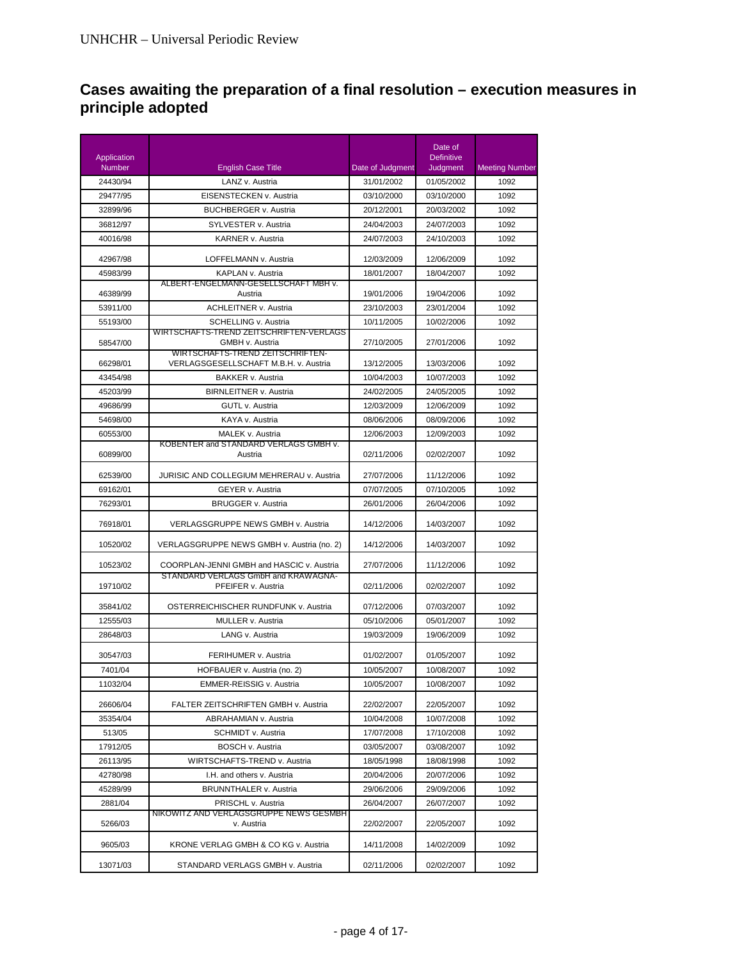## **Cases awaiting the preparation of a final resolution – execution measures in principle adopted**

| Application |                                                                                  |                  | Date of<br><b>Definitive</b> |                |
|-------------|----------------------------------------------------------------------------------|------------------|------------------------------|----------------|
| Number      | <b>English Case Title</b>                                                        | Date of Judgment | Judgment                     | Meeting Number |
| 24430/94    | LANZ v. Austria                                                                  | 31/01/2002       | 01/05/2002                   | 1092           |
| 29477/95    | EISENSTECKEN v. Austria                                                          | 03/10/2000       | 03/10/2000                   | 1092           |
| 32899/96    | <b>BUCHBERGER v. Austria</b>                                                     | 20/12/2001       | 20/03/2002                   | 1092           |
| 36812/97    | SYLVESTER v. Austria                                                             | 24/04/2003       | 24/07/2003                   | 1092           |
| 40016/98    | KARNER v. Austria                                                                | 24/07/2003       | 24/10/2003                   | 1092           |
| 42967/98    | LOFFELMANN v. Austria                                                            | 12/03/2009       | 12/06/2009                   | 1092           |
| 45983/99    | KAPLAN v. Austria                                                                | 18/01/2007       | 18/04/2007                   | 1092           |
| 46389/99    | ALBERT-ENGELMANN-GESELLSCHAFT MBH v.<br>Austria                                  | 19/01/2006       | 19/04/2006                   | 1092           |
| 53911/00    | <b>ACHLEITNER v. Austria</b>                                                     | 23/10/2003       | 23/01/2004                   | 1092           |
| 55193/00    | SCHELLING v. Austria                                                             | 10/11/2005       | 10/02/2006                   | 1092           |
|             | WIRTSCHAFTS-TREND ZEITSCHRIFTEN-VERLAGS                                          |                  |                              |                |
| 58547/00    | GMBH v. Austria<br>WIRTSCHAFTS-TREND ZEITSCHRIFTEN-                              | 27/10/2005       | 27/01/2006                   | 1092           |
| 66298/01    | VERLAGSGESELLSCHAFT M.B.H. v. Austria                                            | 13/12/2005       | 13/03/2006                   | 1092           |
| 43454/98    | BAKKER v. Austria                                                                | 10/04/2003       | 10/07/2003                   | 1092           |
| 45203/99    | <b>BIRNLEITNER v. Austria</b>                                                    | 24/02/2005       | 24/05/2005                   | 1092           |
| 49686/99    | <b>GUTL v. Austria</b>                                                           | 12/03/2009       | 12/06/2009                   | 1092           |
| 54698/00    | KAYA v. Austria                                                                  | 08/06/2006       | 08/09/2006                   | 1092           |
| 60553/00    | MALEK v. Austria                                                                 | 12/06/2003       | 12/09/2003                   | 1092           |
| 60899/00    | KOBENTER and STANDARD VERLAGS GMBH v.<br>Austria                                 | 02/11/2006       | 02/02/2007                   | 1092           |
| 62539/00    | JURISIC AND COLLEGIUM MEHRERAU v. Austria                                        | 27/07/2006       | 11/12/2006                   | 1092           |
| 69162/01    | GEYER v. Austria                                                                 | 07/07/2005       | 07/10/2005                   | 1092           |
| 76293/01    | <b>BRUGGER v. Austria</b>                                                        | 26/01/2006       | 26/04/2006                   | 1092           |
| 76918/01    | VERLAGSGRUPPE NEWS GMBH v. Austria                                               | 14/12/2006       | 14/03/2007                   | 1092           |
| 10520/02    | VERLAGSGRUPPE NEWS GMBH v. Austria (no. 2)                                       | 14/12/2006       | 14/03/2007                   | 1092           |
| 10523/02    | COORPLAN-JENNI GMBH and HASCIC v. Austria<br>STANDARD VERLAGS GmbH and KRAWAGNA- | 27/07/2006       | 11/12/2006                   | 1092           |
| 19710/02    | PFEIFER v. Austria                                                               | 02/11/2006       | 02/02/2007                   | 1092           |
| 35841/02    | OSTERREICHISCHER RUNDFUNK v. Austria                                             | 07/12/2006       | 07/03/2007                   | 1092           |
| 12555/03    | MULLER v. Austria                                                                | 05/10/2006       | 05/01/2007                   | 1092           |
| 28648/03    | LANG v. Austria                                                                  | 19/03/2009       | 19/06/2009                   | 1092           |
| 30547/03    | FERIHUMER v. Austria                                                             | 01/02/2007       | 01/05/2007                   | 1092           |
| 7401/04     | HOFBAUER v. Austria (no. 2)                                                      | 10/05/2007       | 10/08/2007                   | 1092           |
| 11032/04    | EMMER-REISSIG v. Austria                                                         | 10/05/2007       | 10/08/2007                   | 1092           |
| 26606/04    | FALTER ZEITSCHRIFTEN GMBH v. Austria                                             | 22/02/2007       | 22/05/2007                   | 1092           |
| 35354/04    | ABRAHAMIAN v. Austria                                                            | 10/04/2008       | 10/07/2008                   | 1092           |
| 513/05      | SCHMIDT v. Austria                                                               | 17/07/2008       | 17/10/2008                   | 1092           |
| 17912/05    | <b>BOSCH v. Austria</b>                                                          | 03/05/2007       | 03/08/2007                   | 1092           |
| 26113/95    | WIRTSCHAFTS-TREND v. Austria                                                     | 18/05/1998       | 18/08/1998                   | 1092           |
| 42780/98    | I.H. and others v. Austria                                                       | 20/04/2006       | 20/07/2006                   | 1092           |
| 45289/99    | BRUNNTHALER v. Austria                                                           | 29/06/2006       | 29/09/2006                   | 1092           |
| 2881/04     | PRISCHL v. Austria                                                               | 26/04/2007       | 26/07/2007                   | 1092           |
| 5266/03     | NIKOWITZ AND VERLAGSGRUPPE NEWS GESMBH<br>v. Austria                             | 22/02/2007       | 22/05/2007                   | 1092           |
| 9605/03     | KRONE VERLAG GMBH & CO KG v. Austria                                             | 14/11/2008       | 14/02/2009                   | 1092           |
| 13071/03    | STANDARD VERLAGS GMBH v. Austria                                                 | 02/11/2006       | 02/02/2007                   | 1092           |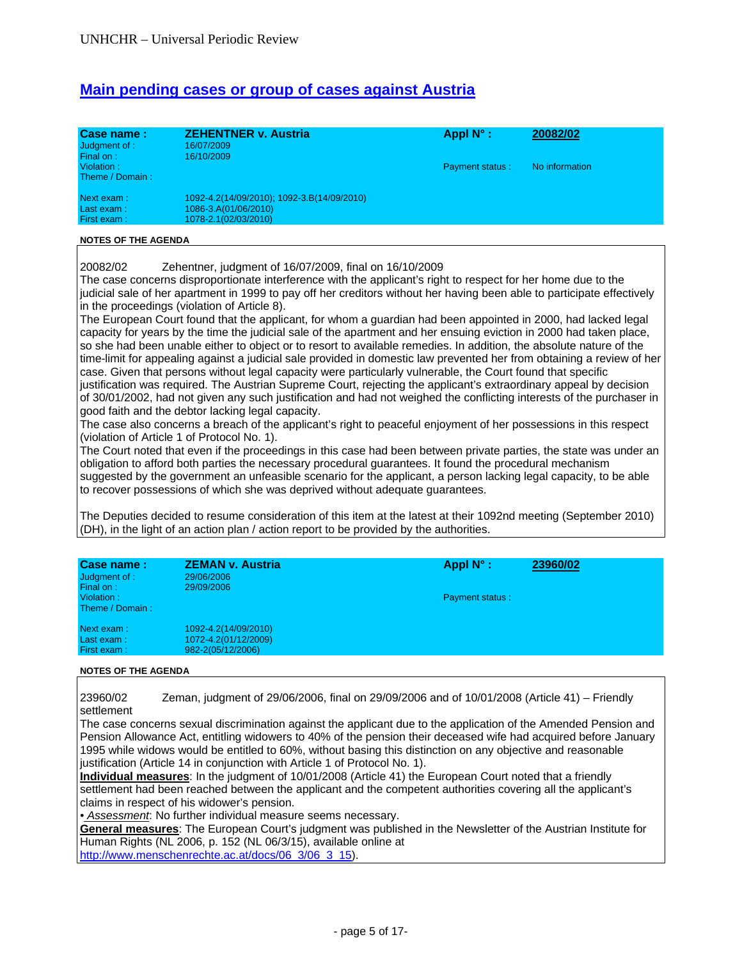## **Main pending cases or group of cases against Austria**

| Case name:<br>Judgment of :<br>Final on: | <b>ZEHENTNER v. Austria</b><br>16/07/2009<br>16/10/2009 | Appl $N^{\circ}$ :     | 20082/02       |
|------------------------------------------|---------------------------------------------------------|------------------------|----------------|
| Violation:<br>Theme / Domain:            |                                                         | <b>Payment status:</b> | No information |
| Next exam:                               | 1092-4.2(14/09/2010); 1092-3.B(14/09/2010)              |                        |                |
| Last exam:                               | 1086-3.A(01/06/2010)                                    |                        |                |
| First exam:                              | 1078-2.1(02/03/2010)                                    |                        |                |

#### **NOTES OF THE AGENDA**

20082/02 Zehentner, judgment of 16/07/2009, final on 16/10/2009

The case concerns disproportionate interference with the applicant's right to respect for her home due to the judicial sale of her apartment in 1999 to pay off her creditors without her having been able to participate effectively in the proceedings (violation of Article 8).

The European Court found that the applicant, for whom a guardian had been appointed in 2000, had lacked legal capacity for years by the time the judicial sale of the apartment and her ensuing eviction in 2000 had taken place, so she had been unable either to object or to resort to available remedies. In addition, the absolute nature of the time-limit for appealing against a judicial sale provided in domestic law prevented her from obtaining a review of her case. Given that persons without legal capacity were particularly vulnerable, the Court found that specific justification was required. The Austrian Supreme Court, rejecting the applicant's extraordinary appeal by decision of 30/01/2002, had not given any such justification and had not weighed the conflicting interests of the purchaser in good faith and the debtor lacking legal capacity.

The case also concerns a breach of the applicant's right to peaceful enjoyment of her possessions in this respect (violation of Article 1 of Protocol No. 1).

The Court noted that even if the proceedings in this case had been between private parties, the state was under an obligation to afford both parties the necessary procedural guarantees. It found the procedural mechanism suggested by the government an unfeasible scenario for the applicant, a person lacking legal capacity, to be able to recover possessions of which she was deprived without adequate guarantees.

The Deputies decided to resume consideration of this item at the latest at their 1092nd meeting (September 2010) (DH), in the light of an action plan / action report to be provided by the authorities.

| Case name:<br>Judgment of :<br>Final on: | <b>ZEMAN v. Austria</b><br>29/06/2006<br>29/09/2006               | Appl $N^{\circ}$ :     | 23960/02 |
|------------------------------------------|-------------------------------------------------------------------|------------------------|----------|
| Violation:<br>Theme / Domain:            |                                                                   | <b>Payment status:</b> |          |
| Next exam:<br>Last exam:<br>First exam:  | 1092-4.2(14/09/2010)<br>1072-4.2(01/12/2009)<br>982-2(05/12/2006) |                        |          |

### **NOTES OF THE AGENDA**

23960/02 Zeman, judgment of 29/06/2006, final on 29/09/2006 and of 10/01/2008 (Article 41) – Friendly settlement

The case concerns sexual discrimination against the applicant due to the application of the Amended Pension and Pension Allowance Act, entitling widowers to 40% of the pension their deceased wife had acquired before January 1995 while widows would be entitled to 60%, without basing this distinction on any objective and reasonable justification (Article 14 in conjunction with Article 1 of Protocol No. 1).

**Individual measures**: In the judgment of 10/01/2008 (Article 41) the European Court noted that a friendly settlement had been reached between the applicant and the competent authorities covering all the applicant's claims in respect of his widower's pension.

*• Assessment*: No further individual measure seems necessary.

**General measures**: The European Court's judgment was published in the Newsletter of the Austrian Institute for Human Rights (NL 2006, p. 152 (NL 06/3/15), available online at http://www.menschenrechte.ac.at/docs/06\_3/06\_3\_15).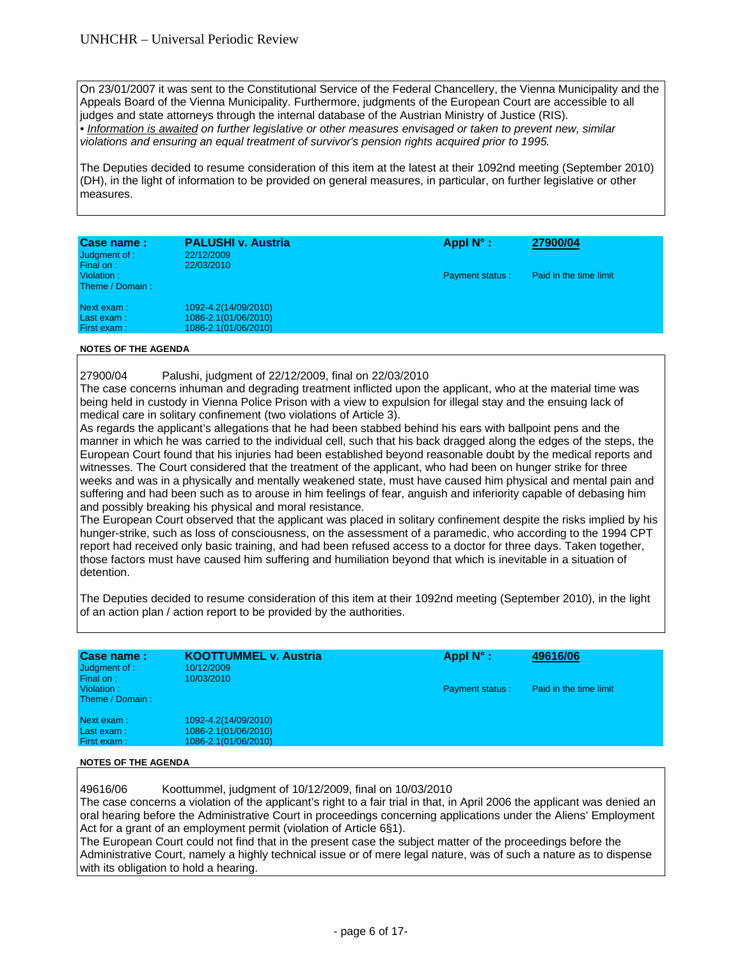On 23/01/2007 it was sent to the Constitutional Service of the Federal Chancellery, the Vienna Municipality and the Appeals Board of the Vienna Municipality. Furthermore, judgments of the European Court are accessible to all judges and state attorneys through the internal database of the Austrian Ministry of Justice (RIS). *• Information is awaited on further legislative or other measures envisaged or taken to prevent new, similar violations and ensuring an equal treatment of survivor's pension rights acquired prior to 1995.* 

The Deputies decided to resume consideration of this item at the latest at their 1092nd meeting (September 2010) (DH), in the light of information to be provided on general measures, in particular, on further legislative or other measures.

| Case name:<br>Judgment of :<br>Final on: | <b>PALUSHI v. Austria</b><br>22/12/2009<br>22/03/2010                | Appl $N^{\circ}$ :     | 27900/04               |
|------------------------------------------|----------------------------------------------------------------------|------------------------|------------------------|
| Violation:<br>Theme / Domain:            |                                                                      | <b>Payment status:</b> | Paid in the time limit |
| Next exam:<br>Last exam:<br>First exam:  | 1092-4.2(14/09/2010)<br>1086-2.1(01/06/2010)<br>1086-2.1(01/06/2010) |                        |                        |

### **NOTES OF THE AGENDA**

27900/04 Palushi, judgment of 22/12/2009, final on 22/03/2010 The case concerns inhuman and degrading treatment inflicted upon the applicant, who at the material time was being held in custody in Vienna Police Prison with a view to expulsion for illegal stay and the ensuing lack of medical care in solitary confinement (two violations of Article 3).

As regards the applicant's allegations that he had been stabbed behind his ears with ballpoint pens and the manner in which he was carried to the individual cell, such that his back dragged along the edges of the steps, the European Court found that his injuries had been established beyond reasonable doubt by the medical reports and witnesses. The Court considered that the treatment of the applicant, who had been on hunger strike for three weeks and was in a physically and mentally weakened state, must have caused him physical and mental pain and suffering and had been such as to arouse in him feelings of fear, anguish and inferiority capable of debasing him and possibly breaking his physical and moral resistance.

The European Court observed that the applicant was placed in solitary confinement despite the risks implied by his hunger-strike, such as loss of consciousness, on the assessment of a paramedic, who according to the 1994 CPT report had received only basic training, and had been refused access to a doctor for three days. Taken together, those factors must have caused him suffering and humiliation beyond that which is inevitable in a situation of detention.

The Deputies decided to resume consideration of this item at their 1092nd meeting (September 2010), in the light of an action plan / action report to be provided by the authorities.

| Case name:<br>Judgment of :<br>Final on: | <b>KOOTTUMMEL v. Austria</b><br>10/12/2009<br>10/03/2010 | Appl $N^{\circ}$ :     | 49616/06               |
|------------------------------------------|----------------------------------------------------------|------------------------|------------------------|
| Violation:<br>Theme / Domain:            |                                                          | <b>Payment status:</b> | Paid in the time limit |
| Next exam:                               | 1092-4.2(14/09/2010)                                     |                        |                        |
| Last exam:                               | 1086-2.1(01/06/2010)                                     |                        |                        |
| First exam:                              | 1086-2.1(01/06/2010)                                     |                        |                        |
|                                          |                                                          |                        |                        |

### **NOTES OF THE AGENDA**

49616/06 Koottummel, judgment of 10/12/2009, final on 10/03/2010

The case concerns a violation of the applicant's right to a fair trial in that, in April 2006 the applicant was denied an oral hearing before the Administrative Court in proceedings concerning applications under the Aliens' Employment Act for a grant of an employment permit (violation of Article 6§1).

The European Court could not find that in the present case the subject matter of the proceedings before the Administrative Court, namely a highly technical issue or of mere legal nature, was of such a nature as to dispense with its obligation to hold a hearing.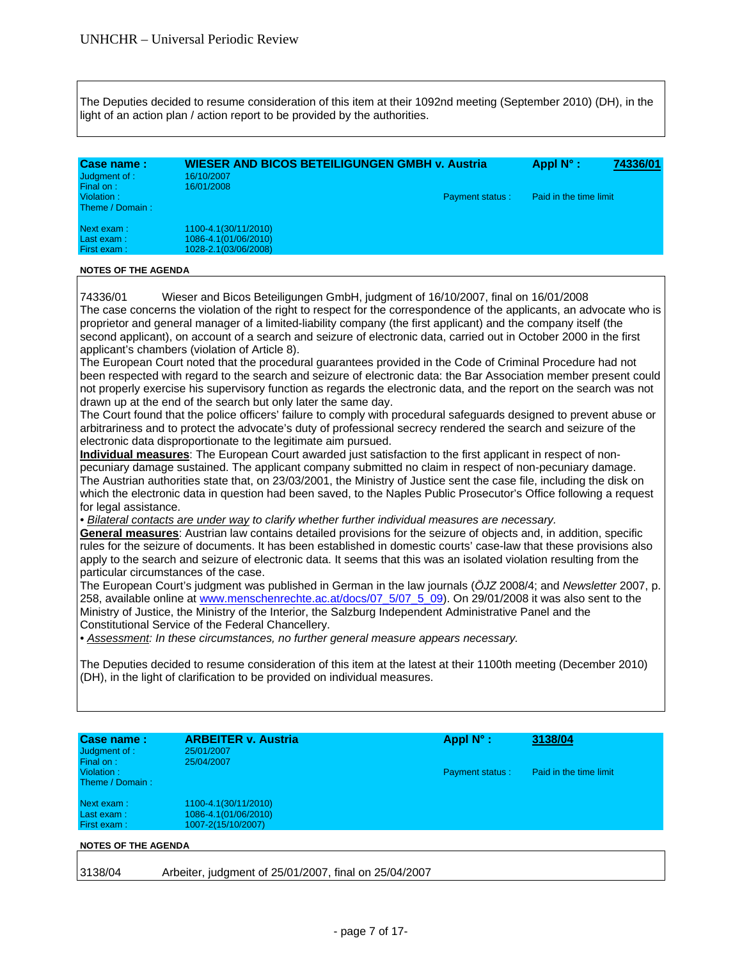The Deputies decided to resume consideration of this item at their 1092nd meeting (September 2010) (DH), in the light of an action plan / action report to be provided by the authorities.

| Case name:<br>Judgment of :<br>Final on: | <b>WIESER AND BICOS BETEILIGUNGEN GMBH v. Austria</b><br>16/10/2007<br>16/01/2008 | 74336/01<br>Appl $N^{\circ}$ : |                        |  |
|------------------------------------------|-----------------------------------------------------------------------------------|--------------------------------|------------------------|--|
| Violation:<br>Theme / Domain:            |                                                                                   | <b>Payment status:</b>         | Paid in the time limit |  |
| Next exam:                               | 1100-4.1(30/11/2010)                                                              |                                |                        |  |
| Last exam:                               | 1086-4.1(01/06/2010)                                                              |                                |                        |  |
| First exam:                              | 1028-2.1(03/06/2008)                                                              |                                |                        |  |

#### **NOTES OF THE AGENDA**

74336/01 Wieser and Bicos Beteiligungen GmbH, judgment of 16/10/2007, final on 16/01/2008 The case concerns the violation of the right to respect for the correspondence of the applicants, an advocate who is proprietor and general manager of a limited-liability company (the first applicant) and the company itself (the second applicant), on account of a search and seizure of electronic data, carried out in October 2000 in the first applicant's chambers (violation of Article 8).

The European Court noted that the procedural guarantees provided in the Code of Criminal Procedure had not been respected with regard to the search and seizure of electronic data: the Bar Association member present could not properly exercise his supervisory function as regards the electronic data, and the report on the search was not drawn up at the end of the search but only later the same day.

The Court found that the police officers' failure to comply with procedural safeguards designed to prevent abuse or arbitrariness and to protect the advocate's duty of professional secrecy rendered the search and seizure of the electronic data disproportionate to the legitimate aim pursued.

**Individual measures**: The European Court awarded just satisfaction to the first applicant in respect of nonpecuniary damage sustained. The applicant company submitted no claim in respect of non-pecuniary damage. The Austrian authorities state that, on 23/03/2001, the Ministry of Justice sent the case file, including the disk on which the electronic data in question had been saved, to the Naples Public Prosecutor's Office following a request for legal assistance.

*• Bilateral contacts are under way to clarify whether further individual measures are necessary.* 

**General measures**: Austrian law contains detailed provisions for the seizure of objects and, in addition, specific rules for the seizure of documents. It has been established in domestic courts' case-law that these provisions also apply to the search and seizure of electronic data. It seems that this was an isolated violation resulting from the particular circumstances of the case.

The European Court's judgment was published in German in the law journals (*ÖJZ* 2008/4; and *Newsletter* 2007, p. 258, available online at www.menschenrechte.ac.at/docs/07\_5/07\_5\_09). On 29/01/2008 it was also sent to the Ministry of Justice, the Ministry of the Interior, the Salzburg Independent Administrative Panel and the Constitutional Service of the Federal Chancellery.

*• Assessment: In these circumstances, no further general measure appears necessary.* 

The Deputies decided to resume consideration of this item at the latest at their 1100th meeting (December 2010) (DH), in the light of clarification to be provided on individual measures.

| Case name:<br>Judgment of :<br>Final on: | <b>ARBEITER v. Austria</b><br>25/01/2007<br>25/04/2007             | Appl $N^{\circ}$ :     | 3138/04                |
|------------------------------------------|--------------------------------------------------------------------|------------------------|------------------------|
| Violation:<br>Theme / Domain:            |                                                                    | <b>Payment status:</b> | Paid in the time limit |
| Next exam:<br>Last exam:<br>First exam:  | 1100-4.1(30/11/2010)<br>1086-4.1(01/06/2010)<br>1007-2(15/10/2007) |                        |                        |
| <b>NOTES OF THE AGENDA</b>               |                                                                    |                        |                        |
| 3138/04                                  | Arbeiter, judgment of 25/01/2007, final on 25/04/2007              |                        |                        |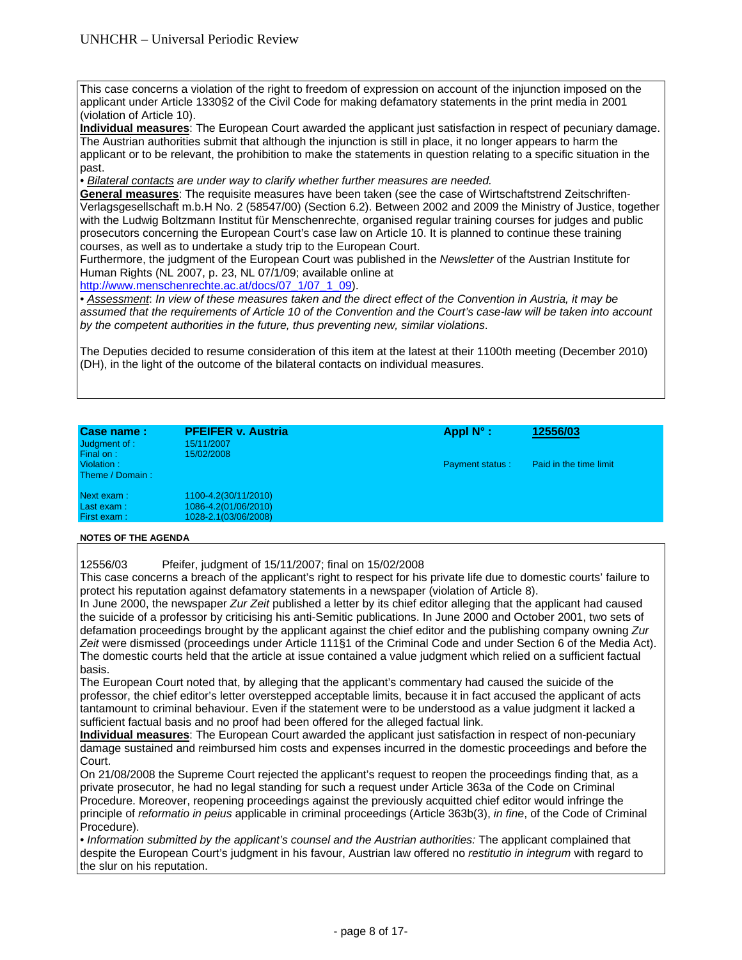This case concerns a violation of the right to freedom of expression on account of the injunction imposed on the applicant under Article 1330§2 of the Civil Code for making defamatory statements in the print media in 2001 (violation of Article 10).

**Individual measures**: The European Court awarded the applicant just satisfaction in respect of pecuniary damage. The Austrian authorities submit that although the injunction is still in place, it no longer appears to harm the applicant or to be relevant, the prohibition to make the statements in question relating to a specific situation in the past.

*• Bilateral contacts are under way to clarify whether further measures are needed.* 

**General measures**: The requisite measures have been taken (see the case of Wirtschaftstrend Zeitschriften-Verlagsgesellschaft m.b.H No. 2 (58547/00) (Section 6.2). Between 2002 and 2009 the Ministry of Justice, together with the Ludwig Boltzmann Institut für Menschenrechte, organised regular training courses for judges and public prosecutors concerning the European Court's case law on Article 10. It is planned to continue these training courses, as well as to undertake a study trip to the European Court.

Furthermore, the judgment of the European Court was published in the *Newsletter* of the Austrian Institute for Human Rights (NL 2007, p. 23, NL 07/1/09; available online at

http://www.menschenrechte.ac.at/docs/07\_1/07\_1\_09).

*• Assessment*: *In view of these measures taken and the direct effect of the Convention in Austria, it may be assumed that the requirements of Article 10 of the Convention and the Court's case-law will be taken into account by the competent authorities in the future, thus preventing new, similar violations*.

The Deputies decided to resume consideration of this item at the latest at their 1100th meeting (December 2010) (DH), in the light of the outcome of the bilateral contacts on individual measures.

| Case name:<br>Judgment of :<br>Final on: | <b>PFEIFER v. Austria</b><br>15/11/2007<br>15/02/2008                | Appl $N^{\circ}$ :     | 12556/03               |
|------------------------------------------|----------------------------------------------------------------------|------------------------|------------------------|
| Violation:<br>Theme / Domain:            |                                                                      | <b>Payment status:</b> | Paid in the time limit |
| Next exam:<br>Last exam:<br>First exam:  | 1100-4.2(30/11/2010)<br>1086-4.2(01/06/2010)<br>1028-2.1(03/06/2008) |                        |                        |

### **NOTES OF THE AGENDA**

12556/03 Pfeifer, judgment of 15/11/2007; final on 15/02/2008

This case concerns a breach of the applicant's right to respect for his private life due to domestic courts' failure to protect his reputation against defamatory statements in a newspaper (violation of Article 8).

In June 2000, the newspaper *Zur Zeit* published a letter by its chief editor alleging that the applicant had caused the suicide of a professor by criticising his anti-Semitic publications. In June 2000 and October 2001, two sets of defamation proceedings brought by the applicant against the chief editor and the publishing company owning *Zur Zeit* were dismissed (proceedings under Article 111§1 of the Criminal Code and under Section 6 of the Media Act). The domestic courts held that the article at issue contained a value judgment which relied on a sufficient factual basis.

The European Court noted that, by alleging that the applicant's commentary had caused the suicide of the professor, the chief editor's letter overstepped acceptable limits, because it in fact accused the applicant of acts tantamount to criminal behaviour. Even if the statement were to be understood as a value judgment it lacked a sufficient factual basis and no proof had been offered for the alleged factual link.

**Individual measures**: The European Court awarded the applicant just satisfaction in respect of non-pecuniary damage sustained and reimbursed him costs and expenses incurred in the domestic proceedings and before the Court.

On 21/08/2008 the Supreme Court rejected the applicant's request to reopen the proceedings finding that, as a private prosecutor, he had no legal standing for such a request under Article 363a of the Code on Criminal Procedure. Moreover, reopening proceedings against the previously acquitted chief editor would infringe the principle of *reformatio in peius* applicable in criminal proceedings (Article 363b(3), *in fine*, of the Code of Criminal Procedure).

*• Information submitted by the applicant's counsel and the Austrian authorities:* The applicant complained that despite the European Court's judgment in his favour, Austrian law offered no *restitutio in integrum* with regard to the slur on his reputation.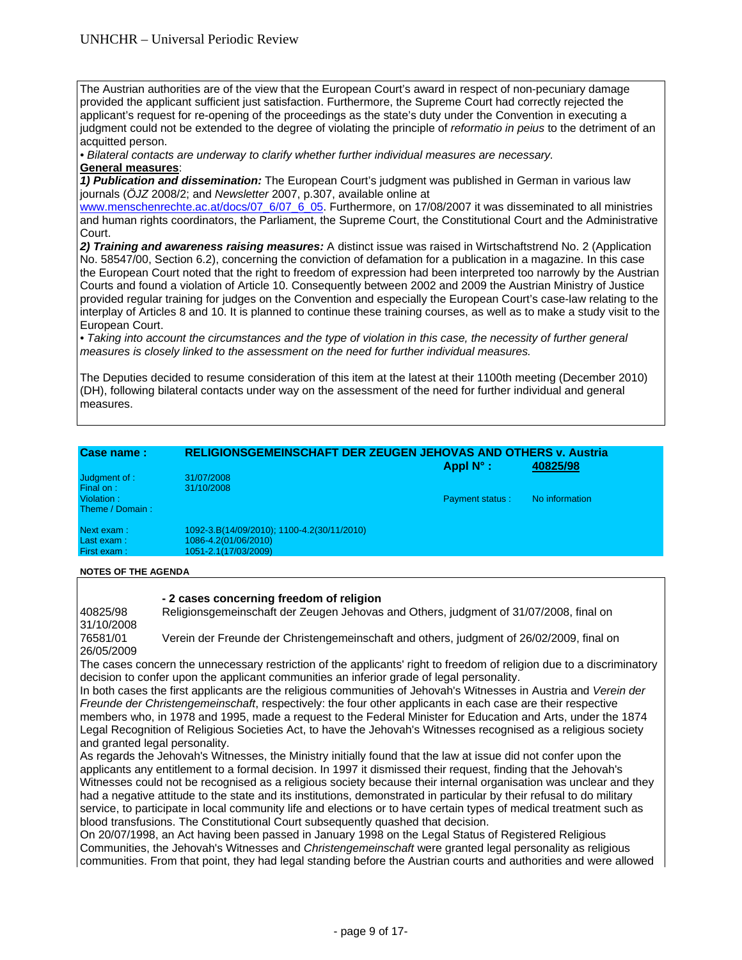The Austrian authorities are of the view that the European Court's award in respect of non-pecuniary damage provided the applicant sufficient just satisfaction. Furthermore, the Supreme Court had correctly rejected the applicant's request for re-opening of the proceedings as the state's duty under the Convention in executing a judgment could not be extended to the degree of violating the principle of *reformatio in peius* to the detriment of an acquitted person.

*• Bilateral contacts are underway to clarify whether further individual measures are necessary.* 

### **General measures**:

*1) Publication and dissemination:* The European Court's judgment was published in German in various law journals (*ÖJZ* 2008/2; and *Newsletter* 2007, p.307, available online at

www.menschenrechte.ac.at/docs/07\_6/07\_6\_05. Furthermore, on 17/08/2007 it was disseminated to all ministries and human rights coordinators, the Parliament, the Supreme Court, the Constitutional Court and the Administrative Court.

*2) Training and awareness raising measures:* A distinct issue was raised in Wirtschaftstrend No. 2 (Application No. 58547/00, Section 6.2), concerning the conviction of defamation for a publication in a magazine. In this case the European Court noted that the right to freedom of expression had been interpreted too narrowly by the Austrian Courts and found a violation of Article 10. Consequently between 2002 and 2009 the Austrian Ministry of Justice provided regular training for judges on the Convention and especially the European Court's case-law relating to the interplay of Articles 8 and 10. It is planned to continue these training courses, as well as to make a study visit to the European Court.

• Taking into account the circumstances and the type of violation in this case, the necessity of further general *measures is closely linked to the assessment on the need for further individual measures.* 

The Deputies decided to resume consideration of this item at the latest at their 1100th meeting (December 2010) (DH), following bilateral contacts under way on the assessment of the need for further individual and general measures.

| <b>Case name:</b> | <b>RELIGIONSGEMEINSCHAFT DER ZEUGEN JEHOVAS AND OTHERS v. Austria</b><br>Appl $N^{\circ}$ :<br>40825/98 |                        |                |  |  |
|-------------------|---------------------------------------------------------------------------------------------------------|------------------------|----------------|--|--|
| Judgment of :     | 31/07/2008                                                                                              |                        |                |  |  |
| Final on:         | 31/10/2008                                                                                              |                        |                |  |  |
| Violation:        |                                                                                                         | <b>Payment status:</b> | No information |  |  |
| Theme / Domain:   |                                                                                                         |                        |                |  |  |
| Next exam:        | 1092-3.B(14/09/2010); 1100-4.2(30/11/2010)                                                              |                        |                |  |  |
| Last exam:        | 1086-4.2(01/06/2010)                                                                                    |                        |                |  |  |
| First exam:       | 1051-2.1(17/03/2009)                                                                                    |                        |                |  |  |

### **NOTES OF THE AGENDA**

### **- 2 cases concerning freedom of religion**

40825/98 Religionsgemeinschaft der Zeugen Jehovas and Others, judgment of 31/07/2008, final on 31/10/2008

76581/01 Verein der Freunde der Christengemeinschaft and others, judgment of 26/02/2009, final on 26/05/2009

The cases concern the unnecessary restriction of the applicants' right to freedom of religion due to a discriminatory decision to confer upon the applicant communities an inferior grade of legal personality.

In both cases the first applicants are the religious communities of Jehovah's Witnesses in Austria and *Verein der Freunde der Christengemeinschaft*, respectively: the four other applicants in each case are their respective members who, in 1978 and 1995, made a request to the Federal Minister for Education and Arts, under the 1874 Legal Recognition of Religious Societies Act, to have the Jehovah's Witnesses recognised as a religious society and granted legal personality.

As regards the Jehovah's Witnesses, the Ministry initially found that the law at issue did not confer upon the applicants any entitlement to a formal decision. In 1997 it dismissed their request, finding that the Jehovah's Witnesses could not be recognised as a religious society because their internal organisation was unclear and they had a negative attitude to the state and its institutions, demonstrated in particular by their refusal to do military service, to participate in local community life and elections or to have certain types of medical treatment such as blood transfusions. The Constitutional Court subsequently quashed that decision.

On 20/07/1998, an Act having been passed in January 1998 on the Legal Status of Registered Religious Communities, the Jehovah's Witnesses and *Christengemeinschaft* were granted legal personality as religious communities. From that point, they had legal standing before the Austrian courts and authorities and were allowed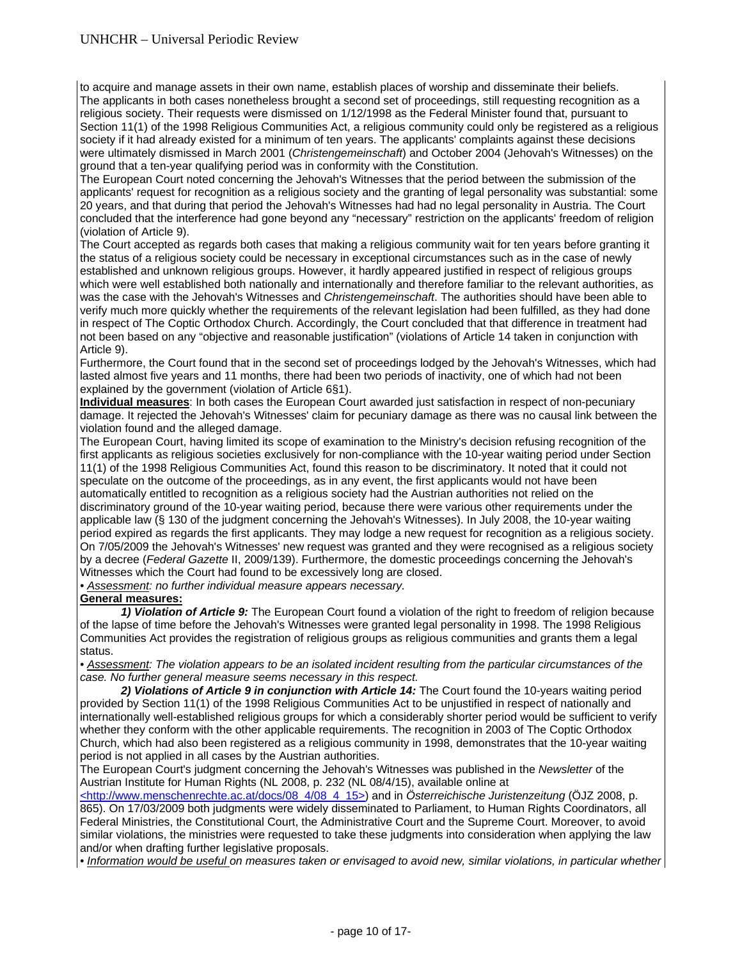to acquire and manage assets in their own name, establish places of worship and disseminate their beliefs. The applicants in both cases nonetheless brought a second set of proceedings, still requesting recognition as a religious society. Their requests were dismissed on 1/12/1998 as the Federal Minister found that, pursuant to Section 11(1) of the 1998 Religious Communities Act, a religious community could only be registered as a religious society if it had already existed for a minimum of ten years. The applicants' complaints against these decisions were ultimately dismissed in March 2001 (*Christengemeinschaft*) and October 2004 (Jehovah's Witnesses) on the ground that a ten-year qualifying period was in conformity with the Constitution.

The European Court noted concerning the Jehovah's Witnesses that the period between the submission of the applicants' request for recognition as a religious society and the granting of legal personality was substantial: some 20 years, and that during that period the Jehovah's Witnesses had had no legal personality in Austria. The Court concluded that the interference had gone beyond any "necessary" restriction on the applicants' freedom of religion (violation of Article 9).

The Court accepted as regards both cases that making a religious community wait for ten years before granting it the status of a religious society could be necessary in exceptional circumstances such as in the case of newly established and unknown religious groups. However, it hardly appeared justified in respect of religious groups which were well established both nationally and internationally and therefore familiar to the relevant authorities, as was the case with the Jehovah's Witnesses and *Christengemeinschaft*. The authorities should have been able to verify much more quickly whether the requirements of the relevant legislation had been fulfilled, as they had done in respect of The Coptic Orthodox Church. Accordingly, the Court concluded that that difference in treatment had not been based on any "objective and reasonable justification" (violations of Article 14 taken in conjunction with Article 9).

Furthermore, the Court found that in the second set of proceedings lodged by the Jehovah's Witnesses, which had lasted almost five years and 11 months, there had been two periods of inactivity, one of which had not been explained by the government (violation of Article 6§1).

**Individual measures**: In both cases the European Court awarded just satisfaction in respect of non-pecuniary damage. It rejected the Jehovah's Witnesses' claim for pecuniary damage as there was no causal link between the violation found and the alleged damage.

The European Court, having limited its scope of examination to the Ministry's decision refusing recognition of the first applicants as religious societies exclusively for non-compliance with the 10-year waiting period under Section 11(1) of the 1998 Religious Communities Act, found this reason to be discriminatory. It noted that it could not speculate on the outcome of the proceedings, as in any event, the first applicants would not have been automatically entitled to recognition as a religious society had the Austrian authorities not relied on the discriminatory ground of the 10-year waiting period, because there were various other requirements under the applicable law (§ 130 of the judgment concerning the Jehovah's Witnesses). In July 2008, the 10-year waiting period expired as regards the first applicants. They may lodge a new request for recognition as a religious society. On 7/05/2009 the Jehovah's Witnesses' new request was granted and they were recognised as a religious society by a decree (*Federal Gazette* II, 2009/139). Furthermore, the domestic proceedings concerning the Jehovah's Witnesses which the Court had found to be excessively long are closed.

*• Assessment: no further individual measure appears necessary.* 

### **General measures:**

 *1) Violation of Article 9:* The European Court found a violation of the right to freedom of religion because of the lapse of time before the Jehovah's Witnesses were granted legal personality in 1998. The 1998 Religious Communities Act provides the registration of religious groups as religious communities and grants them a legal status.

*• Assessment: The violation appears to be an isolated incident resulting from the particular circumstances of the case. No further general measure seems necessary in this respect.*

 *2) Violations of Article 9 in conjunction with Article 14:* The Court found the 10-years waiting period provided by Section 11(1) of the 1998 Religious Communities Act to be unjustified in respect of nationally and internationally well-established religious groups for which a considerably shorter period would be sufficient to verify whether they conform with the other applicable requirements. The recognition in 2003 of The Coptic Orthodox Church, which had also been registered as a religious community in 1998, demonstrates that the 10-year waiting period is not applied in all cases by the Austrian authorities.

The European Court's judgment concerning the Jehovah's Witnesses was published in the *Newsletter* of the Austrian Institute for Human Rights (NL 2008, p. 232 (NL 08/4/15), available online at

<http://www.menschenrechte.ac.at/docs/08\_4/08\_4\_15>) and in *Österreichische Juristenzeitung* (ÖJZ 2008, p. 865). On 17/03/2009 both judgments were widely disseminated to Parliament, to Human Rights Coordinators, all Federal Ministries, the Constitutional Court, the Administrative Court and the Supreme Court. Moreover, to avoid similar violations, the ministries were requested to take these judgments into consideration when applying the law and/or when drafting further legislative proposals.

*• Information would be useful on measures taken or envisaged to avoid new, similar violations, in particular whether*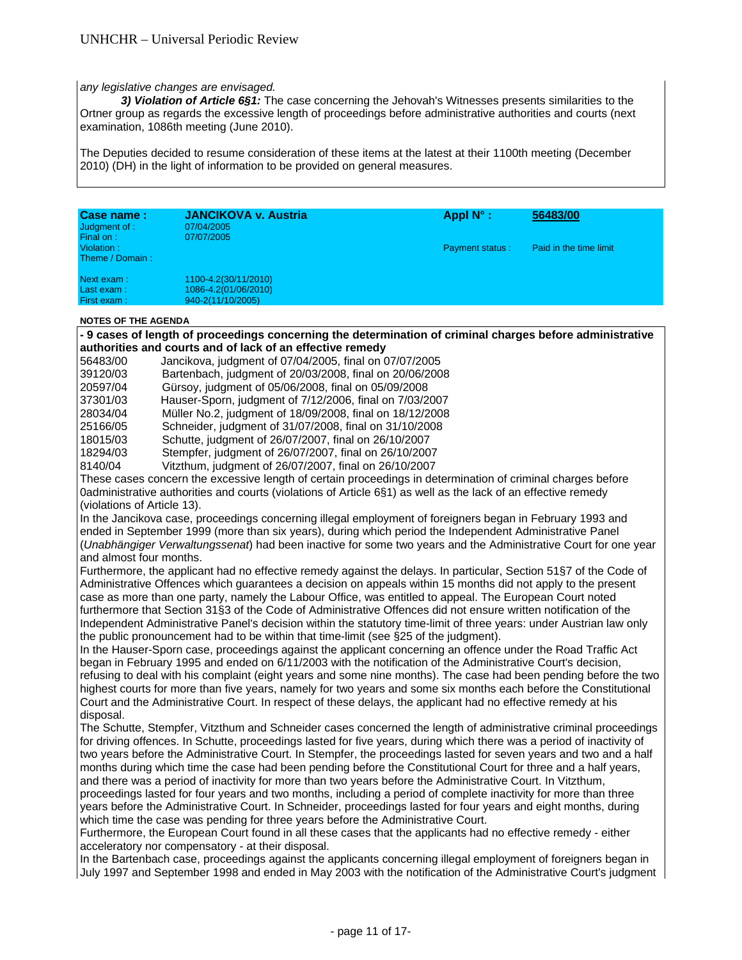#### *any legislative changes are envisaged.*

 *3) Violation of Article 6§1:* The case concerning the Jehovah's Witnesses presents similarities to the Ortner group as regards the excessive length of proceedings before administrative authorities and courts (next examination, 1086th meeting (June 2010).

The Deputies decided to resume consideration of these items at the latest at their 1100th meeting (December 2010) (DH) in the light of information to be provided on general measures.

| Case name:<br>Judgment of :                | JANCIKOVA v. Austria<br>07/04/2005 | Appl $N^{\circ}$ :     | 56483/00               |
|--------------------------------------------|------------------------------------|------------------------|------------------------|
| Final on:<br>Violation:<br>Theme / Domain: | 07/07/2005                         | <b>Payment status:</b> | Paid in the time limit |
| Next exam:                                 | 1100-4.2(30/11/2010)               |                        |                        |
| Last exam:                                 | 1086-4.2(01/06/2010)               |                        |                        |
| First exam:                                | 940-2(11/10/2005)                  |                        |                        |

#### **NOTES OF THE AGENDA**

**- 9 cases of length of proceedings concerning the determination of criminal charges before administrative authorities and courts and of lack of an effective remedy** 

| 56483/00 | Jancikova, judgment of 07/04/2005, final on 07/07/2005 |  |
|----------|--------------------------------------------------------|--|
|----------|--------------------------------------------------------|--|

| 39120/03 | Bartenbach, judgment of 20/03/2008, final on 20/06/2008 |
|----------|---------------------------------------------------------|
|----------|---------------------------------------------------------|

|  | 20597/04 | Gürsoy, judgment of 05/06/2008, final on 05/09/2008 |
|--|----------|-----------------------------------------------------|
|--|----------|-----------------------------------------------------|

37301/03 Hauser-Sporn, judgment of 7/12/2006, final on 7/03/2007

28034/04 Müller No.2, judgment of 18/09/2008, final on 18/12/2008

25166/05 Schneider, judgment of 31/07/2008, final on 31/10/2008

18015/03 Schutte, judgment of 26/07/2007, final on 26/10/2007 18294/03 Stempfer, judgment of 26/07/2007, final on 26/10/2007

8140/04 Vitzthum, judgment of 26/07/2007, final on 26/10/2007

These cases concern the excessive length of certain proceedings in determination of criminal charges before 0administrative authorities and courts (violations of Article 6§1) as well as the lack of an effective remedy (violations of Article 13).

In the Jancikova case, proceedings concerning illegal employment of foreigners began in February 1993 and ended in September 1999 (more than six years), during which period the Independent Administrative Panel (*Unabhängiger Verwaltungssenat*) had been inactive for some two years and the Administrative Court for one year and almost four months.

Furthermore, the applicant had no effective remedy against the delays. In particular, Section 51§7 of the Code of Administrative Offences which guarantees a decision on appeals within 15 months did not apply to the present case as more than one party, namely the Labour Office, was entitled to appeal. The European Court noted furthermore that Section 31§3 of the Code of Administrative Offences did not ensure written notification of the Independent Administrative Panel's decision within the statutory time-limit of three years: under Austrian law only the public pronouncement had to be within that time-limit (see §25 of the judgment).

In the Hauser-Sporn case, proceedings against the applicant concerning an offence under the Road Traffic Act began in February 1995 and ended on 6/11/2003 with the notification of the Administrative Court's decision, refusing to deal with his complaint (eight years and some nine months). The case had been pending before the two highest courts for more than five years, namely for two years and some six months each before the Constitutional Court and the Administrative Court. In respect of these delays, the applicant had no effective remedy at his disposal.

The Schutte, Stempfer, Vitzthum and Schneider cases concerned the length of administrative criminal proceedings for driving offences. In Schutte, proceedings lasted for five years, during which there was a period of inactivity of two years before the Administrative Court. In Stempfer, the proceedings lasted for seven years and two and a half months during which time the case had been pending before the Constitutional Court for three and a half years, and there was a period of inactivity for more than two years before the Administrative Court. In Vitzthum, proceedings lasted for four years and two months, including a period of complete inactivity for more than three years before the Administrative Court. In Schneider, proceedings lasted for four years and eight months, during which time the case was pending for three years before the Administrative Court.

Furthermore, the European Court found in all these cases that the applicants had no effective remedy - either acceleratory nor compensatory - at their disposal.

In the Bartenbach case, proceedings against the applicants concerning illegal employment of foreigners began in July 1997 and September 1998 and ended in May 2003 with the notification of the Administrative Court's judgment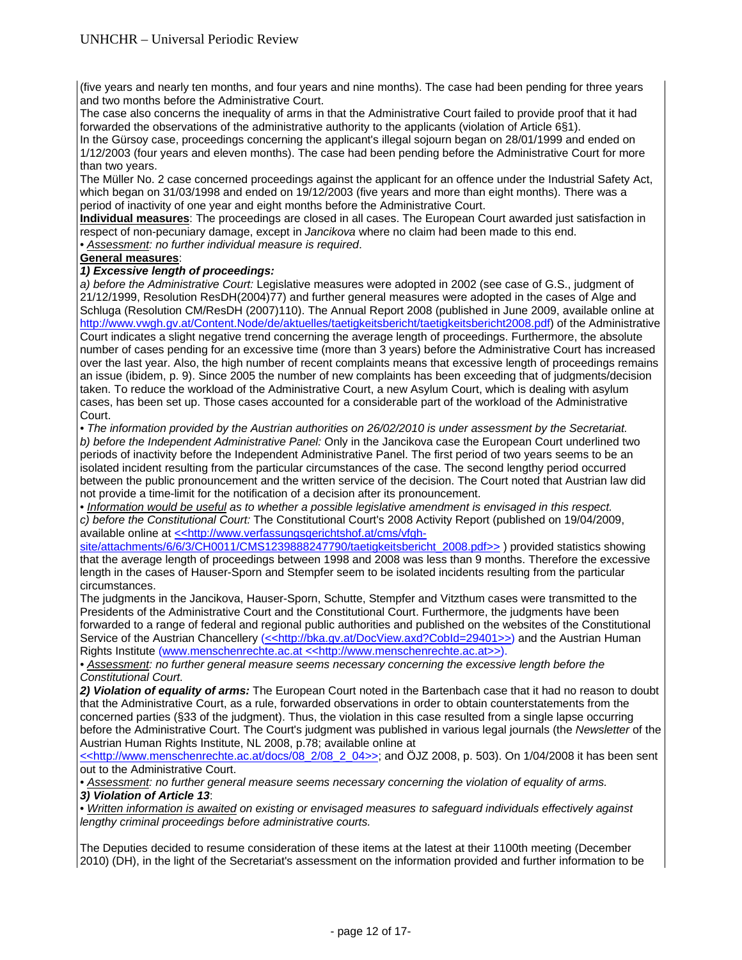(five years and nearly ten months, and four years and nine months). The case had been pending for three years and two months before the Administrative Court.

The case also concerns the inequality of arms in that the Administrative Court failed to provide proof that it had forwarded the observations of the administrative authority to the applicants (violation of Article 6§1).

In the Gürsoy case, proceedings concerning the applicant's illegal sojourn began on 28/01/1999 and ended on 1/12/2003 (four years and eleven months). The case had been pending before the Administrative Court for more than two years.

The Müller No. 2 case concerned proceedings against the applicant for an offence under the Industrial Safety Act, which began on 31/03/1998 and ended on 19/12/2003 (five years and more than eight months). There was a period of inactivity of one year and eight months before the Administrative Court.

**Individual measures**: The proceedings are closed in all cases. The European Court awarded just satisfaction in respect of non-pecuniary damage, except in *Jancikova* where no claim had been made to this end.

• *Assessment: no further individual measure is required*.

### **General measures**:

### *1) Excessive length of proceedings:*

*a) before the Administrative Court:* Legislative measures were adopted in 2002 (see case of G.S., judgment of 21/12/1999, Resolution ResDH(2004)77) and further general measures were adopted in the cases of Alge and Schluga (Resolution CM/ResDH (2007)110). The Annual Report 2008 (published in June 2009, available online at http://www.vwgh.gv.at/Content.Node/de/aktuelles/taetigkeitsbericht/taetigkeitsbericht2008.pdf) of the Administrative Court indicates a slight negative trend concerning the average length of proceedings. Furthermore, the absolute number of cases pending for an excessive time (more than 3 years) before the Administrative Court has increased over the last year. Also, the high number of recent complaints means that excessive length of proceedings remains an issue (ibidem, p. 9). Since 2005 the number of new complaints has been exceeding that of judgments/decision taken. To reduce the workload of the Administrative Court, a new Asylum Court, which is dealing with asylum cases, has been set up. Those cases accounted for a considerable part of the workload of the Administrative Court.

*• The information provided by the Austrian authorities on 26/02/2010 is under assessment by the Secretariat. b) before the Independent Administrative Panel:* Only in the Jancikova case the European Court underlined two periods of inactivity before the Independent Administrative Panel. The first period of two years seems to be an isolated incident resulting from the particular circumstances of the case. The second lengthy period occurred between the public pronouncement and the written service of the decision. The Court noted that Austrian law did not provide a time-limit for the notification of a decision after its pronouncement.

• *Information would be useful as to whether a possible legislative amendment is envisaged in this respect. c) before the Constitutional Court:* The Constitutional Court's 2008 Activity Report (published on 19/04/2009, available online at << http://www.verfassungsgerichtshof.at/cms/vfgh-

site/attachments/6/6/3/CH0011/CMS1239888247790/taetigkeitsbericht\_2008.pdf>> ) provided statistics showing that the average length of proceedings between 1998 and 2008 was less than 9 months. Therefore the excessive length in the cases of Hauser-Sporn and Stempfer seem to be isolated incidents resulting from the particular circumstances.

The judgments in the Jancikova, Hauser-Sporn, Schutte, Stempfer and Vitzthum cases were transmitted to the Presidents of the Administrative Court and the Constitutional Court. Furthermore, the judgments have been forwarded to a range of federal and regional public authorities and published on the websites of the Constitutional Service of the Austrian Chancellery (<<http://bka.gv.at/DocView.axd?Cobld=29401>>) and the Austrian Human Rights Institute (www.menschenrechte.ac.at <<http://www.menschenrechte.ac.at>>).

• Assessment: no further general measure seems necessary concerning the excessive length before the *Constitutional Court.* 

*2) Violation of equality of arms:* The European Court noted in the Bartenbach case that it had no reason to doubt that the Administrative Court, as a rule, forwarded observations in order to obtain counterstatements from the concerned parties (§33 of the judgment). Thus, the violation in this case resulted from a single lapse occurring before the Administrative Court. The Court's judgment was published in various legal journals (the *Newsletter* of the Austrian Human Rights Institute, NL 2008, p.78; available online at

<<http://www.menschenrechte.ac.at/docs/08\_2/08\_2\_04>>; and ÖJZ 2008, p. 503). On 1/04/2008 it has been sent out to the Administrative Court.

*• Assessment: no further general measure seems necessary concerning the violation of equality of arms. 3) Violation of Article 13*:

• *Written information is awaited on existing or envisaged measures to safeguard individuals effectively against lengthy criminal proceedings before administrative courts.* 

The Deputies decided to resume consideration of these items at the latest at their 1100th meeting (December 2010) (DH), in the light of the Secretariat's assessment on the information provided and further information to be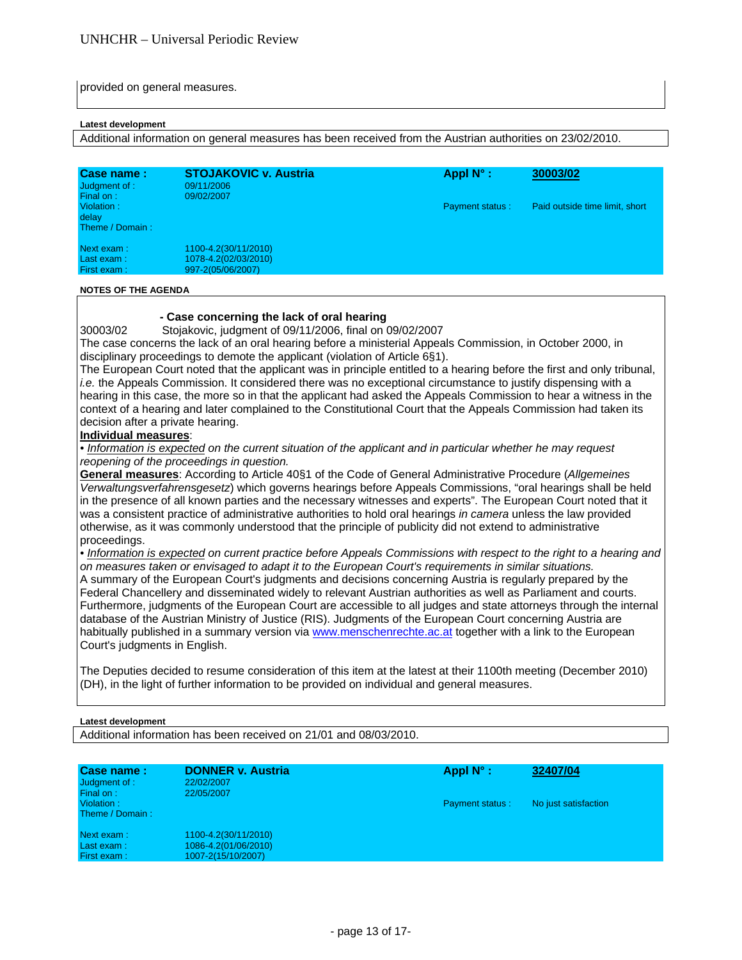provided on general measures.

#### **Latest development**

Additional information on general measures has been received from the Austrian authorities on 23/02/2010.

| Case name:<br>Judgment of :<br>Final on: | <b>STOJAKOVIC v. Austria</b><br>09/11/2006<br>09/02/2007          | Appl $N^{\circ}$ :     | 30003/02                       |
|------------------------------------------|-------------------------------------------------------------------|------------------------|--------------------------------|
| Violation:<br>delay<br>Theme / Domain:   |                                                                   | <b>Payment status:</b> | Paid outside time limit, short |
| Next exam :<br>Last exam:<br>First exam: | 1100-4.2(30/11/2010)<br>1078-4.2(02/03/2010)<br>997-2(05/06/2007) |                        |                                |

#### **NOTES OF THE AGENDA**

### **- Case concerning the lack of oral hearing**

30003/02 Stojakovic, judgment of 09/11/2006, final on 09/02/2007

The case concerns the lack of an oral hearing before a ministerial Appeals Commission, in October 2000, in disciplinary proceedings to demote the applicant (violation of Article 6§1).

The European Court noted that the applicant was in principle entitled to a hearing before the first and only tribunal, *i.e.* the Appeals Commission. It considered there was no exceptional circumstance to justify dispensing with a hearing in this case, the more so in that the applicant had asked the Appeals Commission to hear a witness in the context of a hearing and later complained to the Constitutional Court that the Appeals Commission had taken its decision after a private hearing.

#### **Individual measures**:

*• Information is expected on the current situation of the applicant and in particular whether he may request reopening of the proceedings in question.* 

**General measures**: According to Article 40§1 of the Code of General Administrative Procedure (*Allgemeines Verwaltungsverfahrensgesetz*) which governs hearings before Appeals Commissions, "oral hearings shall be held in the presence of all known parties and the necessary witnesses and experts". The European Court noted that it was a consistent practice of administrative authorities to hold oral hearings *in camera* unless the law provided otherwise, as it was commonly understood that the principle of publicity did not extend to administrative proceedings.

*• Information is expected on current practice before Appeals Commissions with respect to the right to a hearing and on measures taken or envisaged to adapt it to the European Court's requirements in similar situations.*  A summary of the European Court's judgments and decisions concerning Austria is regularly prepared by the Federal Chancellery and disseminated widely to relevant Austrian authorities as well as Parliament and courts. Furthermore, judgments of the European Court are accessible to all judges and state attorneys through the internal database of the Austrian Ministry of Justice (RIS). Judgments of the European Court concerning Austria are habitually published in a summary version via www.menschenrechte.ac.at together with a link to the European Court's judgments in English.

The Deputies decided to resume consideration of this item at the latest at their 1100th meeting (December 2010) (DH), in the light of further information to be provided on individual and general measures.

#### **Latest development**

Additional information has been received on 21/01 and 08/03/2010.

| Case name:<br>Judgment of :<br>Final on: | <b>DONNER v. Austria</b><br>22/02/2007<br>22/05/2007               | Appl $N^{\circ}$ :     | 32407/04             |
|------------------------------------------|--------------------------------------------------------------------|------------------------|----------------------|
| Violation:<br>Theme / Domain:            |                                                                    | <b>Payment status:</b> | No just satisfaction |
| Next exam:<br>Last exam:<br>First exam:  | 1100-4.2(30/11/2010)<br>1086-4.2(01/06/2010)<br>1007-2(15/10/2007) |                        |                      |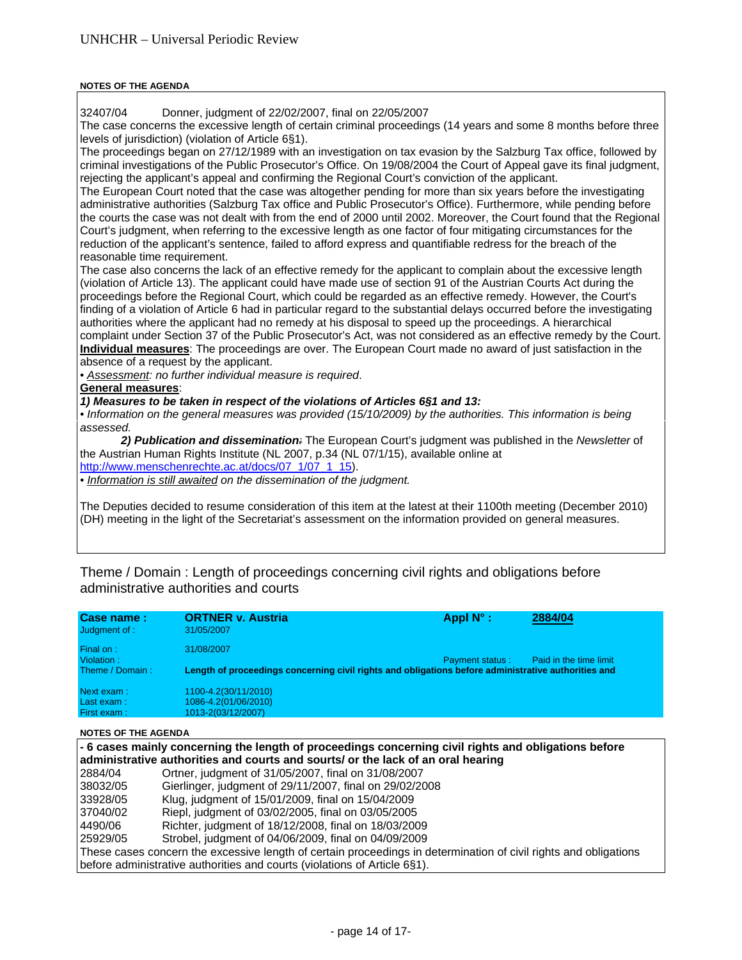### **NOTES OF THE AGENDA**

32407/04 Donner, judgment of 22/02/2007, final on 22/05/2007

The case concerns the excessive length of certain criminal proceedings (14 years and some 8 months before three levels of jurisdiction) (violation of Article 6§1).

The proceedings began on 27/12/1989 with an investigation on tax evasion by the Salzburg Tax office, followed by criminal investigations of the Public Prosecutor's Office. On 19/08/2004 the Court of Appeal gave its final judgment, rejecting the applicant's appeal and confirming the Regional Court's conviction of the applicant.

The European Court noted that the case was altogether pending for more than six years before the investigating administrative authorities (Salzburg Tax office and Public Prosecutor's Office). Furthermore, while pending before the courts the case was not dealt with from the end of 2000 until 2002. Moreover, the Court found that the Regional Court's judgment, when referring to the excessive length as one factor of four mitigating circumstances for the reduction of the applicant's sentence, failed to afford express and quantifiable redress for the breach of the reasonable time requirement.

The case also concerns the lack of an effective remedy for the applicant to complain about the excessive length (violation of Article 13). The applicant could have made use of section 91 of the Austrian Courts Act during the proceedings before the Regional Court, which could be regarded as an effective remedy. However, the Court's finding of a violation of Article 6 had in particular regard to the substantial delays occurred before the investigating authorities where the applicant had no remedy at his disposal to speed up the proceedings. A hierarchical complaint under Section 37 of the Public Prosecutor's Act, was not considered as an effective remedy by the Court. **Individual measures**: The proceedings are over. The European Court made no award of just satisfaction in the absence of a request by the applicant.

• *Assessment: no further individual measure is required*.

### **General measures**:

### *1) Measures to be taken in respect of the violations of Articles 6§1 and 13:*

*• Information on the general measures was provided (15/10/2009) by the authorities. This information is being assessed.* 

*2) Publication and dissemination:* The European Court's judgment was published in the *Newsletter* of the Austrian Human Rights Institute (NL 2007, p.34 (NL 07/1/15), available online at http://www.menschenrechte.ac.at/docs/07\_1/07\_1\_15).

*• Information is still awaited on the dissemination of the judgment.* 

The Deputies decided to resume consideration of this item at the latest at their 1100th meeting (December 2010) (DH) meeting in the light of the Secretariat's assessment on the information provided on general measures.

Theme / Domain : Length of proceedings concerning civil rights and obligations before administrative authorities and courts

| Case name:<br>Judgment of : | <b>ORTNER v. Austria</b><br>31/05/2007                                                              | Appl $N^{\circ}$ :     | 2884/04                |
|-----------------------------|-----------------------------------------------------------------------------------------------------|------------------------|------------------------|
| Final on:<br>Violation:     | 31/08/2007                                                                                          | <b>Payment status:</b> | Paid in the time limit |
| Theme / Domain:             | Length of proceedings concerning civil rights and obligations before administrative authorities and |                        |                        |
| Next exam:                  | 1100-4.2(30/11/2010)                                                                                |                        |                        |
| Last exam:                  | 1086-4.2(01/06/2010)                                                                                |                        |                        |
| First exam:                 | 1013-2(03/12/2007)                                                                                  |                        |                        |

#### **NOTES OF THE AGENDA**

| - 6 cases mainly concerning the length of proceedings concerning civil rights and obligations before<br>administrative authorities and courts and sourts/ or the lack of an oral hearing |                                                         |  |  |
|------------------------------------------------------------------------------------------------------------------------------------------------------------------------------------------|---------------------------------------------------------|--|--|
| 2884/04                                                                                                                                                                                  | Ortner, judgment of 31/05/2007, final on 31/08/2007     |  |  |
| 38032/05                                                                                                                                                                                 | Gierlinger, judgment of 29/11/2007, final on 29/02/2008 |  |  |
| 33928/05                                                                                                                                                                                 | Klug, judgment of 15/01/2009, final on 15/04/2009       |  |  |
| 37040/02                                                                                                                                                                                 | Riepl, judgment of 03/02/2005, final on 03/05/2005      |  |  |
| 4490/06                                                                                                                                                                                  | Richter, judgment of 18/12/2008, final on 18/03/2009    |  |  |
| 25929/05                                                                                                                                                                                 | Strobel, judgment of 04/06/2009, final on 04/09/2009    |  |  |
| These cases concern the excessive length of certain proceedings in determination of civil rights and obligations                                                                         |                                                         |  |  |
| before administrative authorities and courts (violations of Article 6§1).                                                                                                                |                                                         |  |  |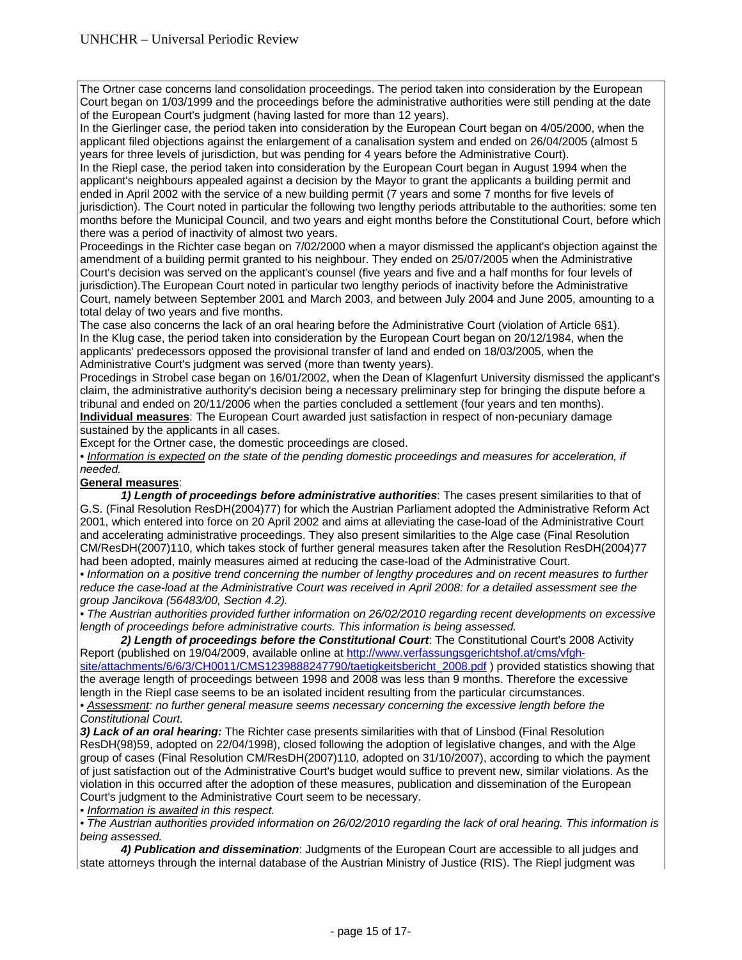The Ortner case concerns land consolidation proceedings. The period taken into consideration by the European Court began on 1/03/1999 and the proceedings before the administrative authorities were still pending at the date of the European Court's judgment (having lasted for more than 12 years).

In the Gierlinger case, the period taken into consideration by the European Court began on 4/05/2000, when the applicant filed objections against the enlargement of a canalisation system and ended on 26/04/2005 (almost 5 years for three levels of jurisdiction, but was pending for 4 years before the Administrative Court).

In the Riepl case, the period taken into consideration by the European Court began in August 1994 when the applicant's neighbours appealed against a decision by the Mayor to grant the applicants a building permit and ended in April 2002 with the service of a new building permit (7 years and some 7 months for five levels of jurisdiction). The Court noted in particular the following two lengthy periods attributable to the authorities: some ten months before the Municipal Council, and two years and eight months before the Constitutional Court, before which there was a period of inactivity of almost two years.

Proceedings in the Richter case began on 7/02/2000 when a mayor dismissed the applicant's objection against the amendment of a building permit granted to his neighbour. They ended on 25/07/2005 when the Administrative Court's decision was served on the applicant's counsel (five years and five and a half months for four levels of jurisdiction).The European Court noted in particular two lengthy periods of inactivity before the Administrative Court, namely between September 2001 and March 2003, and between July 2004 and June 2005, amounting to a total delay of two years and five months.

The case also concerns the lack of an oral hearing before the Administrative Court (violation of Article 6§1). In the Klug case, the period taken into consideration by the European Court began on 20/12/1984, when the applicants' predecessors opposed the provisional transfer of land and ended on 18/03/2005, when the Administrative Court's judgment was served (more than twenty years).

Procedings in Strobel case began on 16/01/2002, when the Dean of Klagenfurt University dismissed the applicant's claim, the administrative authority's decision being a necessary preliminary step for bringing the dispute before a tribunal and ended on 20/11/2006 when the parties concluded a settlement (four years and ten months). **Individual measures**: The European Court awarded just satisfaction in respect of non-pecuniary damage sustained by the applicants in all cases.

Except for the Ortner case, the domestic proceedings are closed.

• Information is expected on the state of the pending domestic proceedings and measures for acceleration, if *needed.*

### **General measures**:

*1) Length of proceedings before administrative authorities*: The cases present similarities to that of G.S. (Final Resolution ResDH(2004)77) for which the Austrian Parliament adopted the Administrative Reform Act 2001, which entered into force on 20 April 2002 and aims at alleviating the case-load of the Administrative Court and accelerating administrative proceedings. They also present similarities to the Alge case (Final Resolution CM/ResDH(2007)110, which takes stock of further general measures taken after the Resolution ResDH(2004)77 had been adopted, mainly measures aimed at reducing the case-load of the Administrative Court.

• Information on a positive trend concerning the number of lengthy procedures and on recent measures to further *reduce the case-load at the Administrative Court was received in April 2008: for a detailed assessment see the group Jancikova (56483/00, Section 4.2).* 

*• The Austrian authorities provided further information on 26/02/2010 regarding recent developments on excessive length of proceedings before administrative courts. This information is being assessed.* 

 *2) Length of proceedings before the Constitutional Court*: The Constitutional Court's 2008 Activity Report (published on 19/04/2009, available online at http://www.verfassungsgerichtshof.at/cms/vfghsite/attachments/6/6/3/CH0011/CMS1239888247790/taetigkeitsbericht\_2008.pdf) provided statistics showing that

the average length of proceedings between 1998 and 2008 was less than 9 months. Therefore the excessive length in the Riepl case seems to be an isolated incident resulting from the particular circumstances. *• Assessment: no further general measure seems necessary concerning the excessive length before the* 

*Constitutional Court.* 

*3) Lack of an oral hearing:* The Richter case presents similarities with that of Linsbod (Final Resolution ResDH(98)59, adopted on 22/04/1998), closed following the adoption of legislative changes, and with the Alge group of cases (Final Resolution CM/ResDH(2007)110, adopted on 31/10/2007), according to which the payment of just satisfaction out of the Administrative Court's budget would suffice to prevent new, similar violations. As the violation in this occurred after the adoption of these measures, publication and dissemination of the European Court's judgment to the Administrative Court seem to be necessary.

*• Information is awaited in this respect.*

*• The Austrian authorities provided information on 26/02/2010 regarding the lack of oral hearing. This information is being assessed.* 

 *4) Publication and dissemination*: Judgments of the European Court are accessible to all judges and state attorneys through the internal database of the Austrian Ministry of Justice (RIS). The Riepl judgment was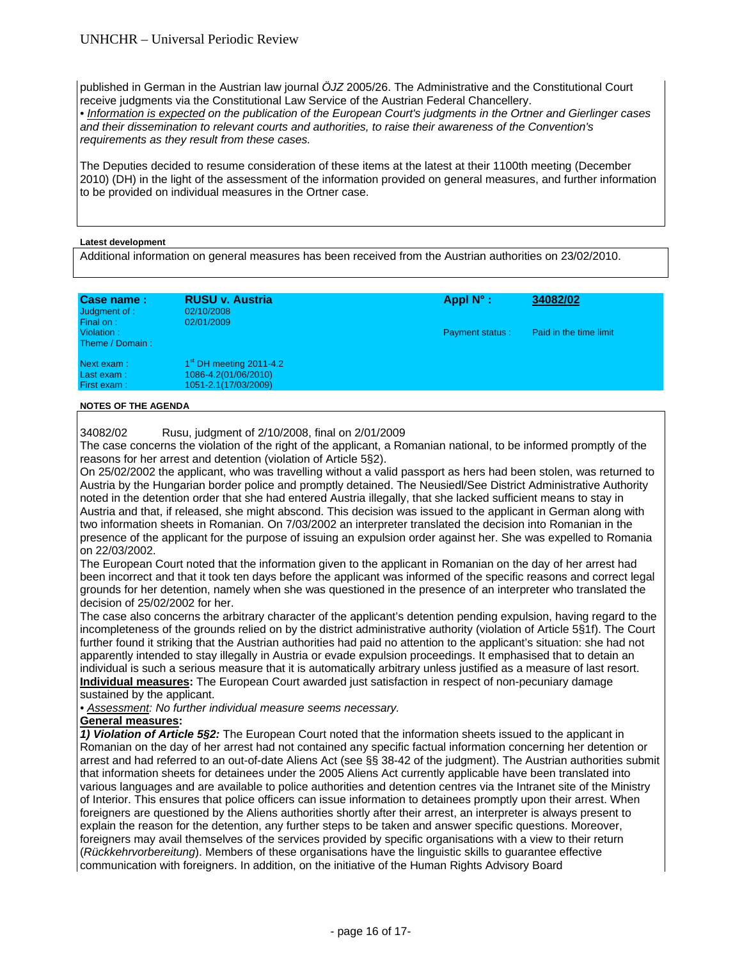published in German in the Austrian law journal *ÖJZ* 2005/26. The Administrative and the Constitutional Court receive judgments via the Constitutional Law Service of the Austrian Federal Chancellery.

*• Information is expected on the publication of the European Court's judgments in the Ortner and Gierlinger cases and their dissemination to relevant courts and authorities, to raise their awareness of the Convention's requirements as they result from these cases.* 

The Deputies decided to resume consideration of these items at the latest at their 1100th meeting (December 2010) (DH) in the light of the assessment of the information provided on general measures, and further information to be provided on individual measures in the Ortner case.

### **Latest development**

Additional information on general measures has been received from the Austrian authorities on 23/02/2010.

| Case name:<br>Judgment of :<br>Final on: | <b>RUSU v. Austria</b><br>02/10/2008<br>02/01/2009                        | Appl $N^{\circ}$ :     | 34082/02               |
|------------------------------------------|---------------------------------------------------------------------------|------------------------|------------------------|
| Violation:<br>Theme / Domain:            |                                                                           | <b>Payment status:</b> | Paid in the time limit |
| Next exam :<br>Last exam:<br>First exam: | $1st$ DH meeting 2011-4.2<br>1086-4.2(01/06/2010)<br>1051-2.1(17/03/2009) |                        |                        |

### **NOTES OF THE AGENDA**

### 34082/02 Rusu, judgment of 2/10/2008, final on 2/01/2009

The case concerns the violation of the right of the applicant, a Romanian national, to be informed promptly of the reasons for her arrest and detention (violation of Article 5§2).

On 25/02/2002 the applicant, who was travelling without a valid passport as hers had been stolen, was returned to Austria by the Hungarian border police and promptly detained. The Neusiedl/See District Administrative Authority noted in the detention order that she had entered Austria illegally, that she lacked sufficient means to stay in Austria and that, if released, she might abscond. This decision was issued to the applicant in German along with two information sheets in Romanian. On 7/03/2002 an interpreter translated the decision into Romanian in the presence of the applicant for the purpose of issuing an expulsion order against her. She was expelled to Romania on 22/03/2002.

The European Court noted that the information given to the applicant in Romanian on the day of her arrest had been incorrect and that it took ten days before the applicant was informed of the specific reasons and correct legal grounds for her detention, namely when she was questioned in the presence of an interpreter who translated the decision of 25/02/2002 for her.

The case also concerns the arbitrary character of the applicant's detention pending expulsion, having regard to the incompleteness of the grounds relied on by the district administrative authority (violation of Article 5§1f). The Court further found it striking that the Austrian authorities had paid no attention to the applicant's situation: she had not apparently intended to stay illegally in Austria or evade expulsion proceedings. It emphasised that to detain an individual is such a serious measure that it is automatically arbitrary unless justified as a measure of last resort. **Individual measures:** The European Court awarded just satisfaction in respect of non-pecuniary damage sustained by the applicant.

*• Assessment: No further individual measure seems necessary.* 

### **General measures:**

*1) Violation of Article 5§2:* The European Court noted that the information sheets issued to the applicant in Romanian on the day of her arrest had not contained any specific factual information concerning her detention or arrest and had referred to an out-of-date Aliens Act (see §§ 38-42 of the judgment). The Austrian authorities submit that information sheets for detainees under the 2005 Aliens Act currently applicable have been translated into various languages and are available to police authorities and detention centres via the Intranet site of the Ministry of Interior. This ensures that police officers can issue information to detainees promptly upon their arrest. When foreigners are questioned by the Aliens authorities shortly after their arrest, an interpreter is always present to explain the reason for the detention, any further steps to be taken and answer specific questions. Moreover, foreigners may avail themselves of the services provided by specific organisations with a view to their return (*Rückkehrvorbereitung*). Members of these organisations have the linguistic skills to guarantee effective communication with foreigners. In addition, on the initiative of the Human Rights Advisory Board